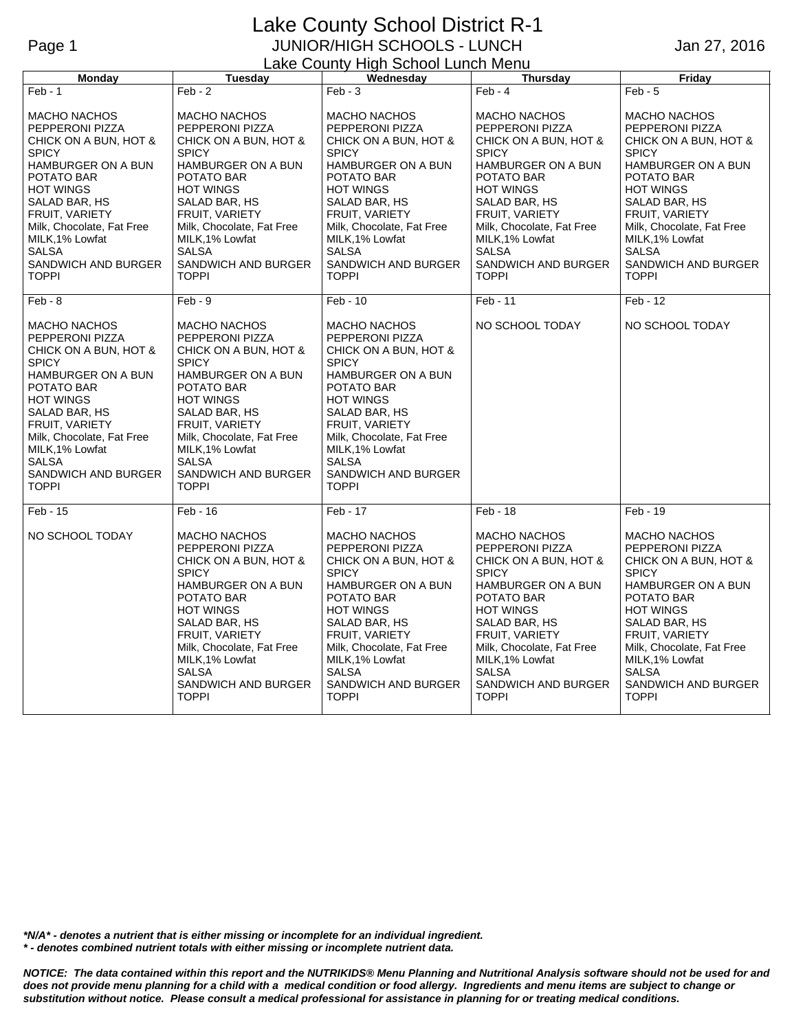## Lake County School District R-1 Page 1 JUNIOR/HIGH SCHOOLS - LUNCH Lake County High School Lunch Menu

Jan 27, 2016

| <b>Monday</b>                                                                                                                                                                                                                                                                            | Tuesday                                                                                                                                                                                                                                                                                         | <u> - ano vvarny myn</u><br>Wednesday                                                                                                                                                                                                                                                    | <b>Thursday</b>                                                                                                                                                                                                                                                                          | Friday                                                                                                                                                                                                                                                                            |
|------------------------------------------------------------------------------------------------------------------------------------------------------------------------------------------------------------------------------------------------------------------------------------------|-------------------------------------------------------------------------------------------------------------------------------------------------------------------------------------------------------------------------------------------------------------------------------------------------|------------------------------------------------------------------------------------------------------------------------------------------------------------------------------------------------------------------------------------------------------------------------------------------|------------------------------------------------------------------------------------------------------------------------------------------------------------------------------------------------------------------------------------------------------------------------------------------|-----------------------------------------------------------------------------------------------------------------------------------------------------------------------------------------------------------------------------------------------------------------------------------|
| $Feb - 1$                                                                                                                                                                                                                                                                                | $Feb - 2$                                                                                                                                                                                                                                                                                       | $Feb - 3$                                                                                                                                                                                                                                                                                | $Feb - 4$                                                                                                                                                                                                                                                                                | $Feb - 5$                                                                                                                                                                                                                                                                         |
| <b>MACHO NACHOS</b><br>PEPPERONI PIZZA<br>CHICK ON A BUN, HOT &<br><b>SPICY</b><br>HAMBURGER ON A BUN<br>POTATO BAR<br><b>HOT WINGS</b><br>SALAD BAR, HS<br>FRUIT, VARIETY<br>Milk, Chocolate, Fat Free<br>MILK, 1% Lowfat<br><b>SALSA</b><br>SANDWICH AND BURGER<br><b>TOPPI</b>        | <b>MACHO NACHOS</b><br>PEPPERONI PIZZA<br>CHICK ON A BUN, HOT &<br><b>SPICY</b><br>HAMBURGER ON A BUN<br>POTATO BAR<br><b>HOT WINGS</b><br>SALAD BAR, HS<br>FRUIT, VARIETY<br>Milk, Chocolate, Fat Free<br>MILK, 1% Lowfat<br><b>SALSA</b><br>SANDWICH AND BURGER<br><b>TOPPI</b>               | <b>MACHO NACHOS</b><br>PEPPERONI PIZZA<br>CHICK ON A BUN, HOT &<br><b>SPICY</b><br><b>HAMBURGER ON A BUN</b><br>POTATO BAR<br><b>HOT WINGS</b><br>SALAD BAR, HS<br>FRUIT, VARIETY<br>Milk, Chocolate, Fat Free<br>MILK, 1% Lowfat<br><b>SALSA</b><br>SANDWICH AND BURGER<br><b>TOPPI</b> | <b>MACHO NACHOS</b><br>PEPPERONI PIZZA<br>CHICK ON A BUN, HOT &<br><b>SPICY</b><br><b>HAMBURGER ON A BUN</b><br>POTATO BAR<br><b>HOT WINGS</b><br>SALAD BAR, HS<br>FRUIT, VARIETY<br>Milk, Chocolate, Fat Free<br>MILK, 1% Lowfat<br><b>SALSA</b><br>SANDWICH AND BURGER<br><b>TOPPI</b> | <b>MACHO NACHOS</b><br>PEPPERONI PIZZA<br>CHICK ON A BUN, HOT &<br><b>SPICY</b><br>HAMBURGER ON A BUN<br>POTATO BAR<br><b>HOT WINGS</b><br>SALAD BAR, HS<br>FRUIT, VARIETY<br>Milk, Chocolate, Fat Free<br>MILK, 1% Lowfat<br><b>SALSA</b><br>SANDWICH AND BURGER<br><b>TOPPI</b> |
| $Feb - 8$                                                                                                                                                                                                                                                                                | $Feb - 9$                                                                                                                                                                                                                                                                                       | $Feb - 10$                                                                                                                                                                                                                                                                               | Feb - 11                                                                                                                                                                                                                                                                                 | Feb - 12                                                                                                                                                                                                                                                                          |
| <b>MACHO NACHOS</b><br>PEPPERONI PIZZA<br>CHICK ON A BUN, HOT &<br><b>SPICY</b><br>HAMBURGER ON A BUN<br>POTATO BAR<br><b>HOT WINGS</b><br>SALAD BAR, HS<br><b>FRUIT, VARIETY</b><br>Milk, Chocolate, Fat Free<br>MILK, 1% Lowfat<br><b>SALSA</b><br>SANDWICH AND BURGER<br><b>TOPPI</b> | <b>MACHO NACHOS</b><br>PEPPERONI PIZZA<br>CHICK ON A BUN, HOT &<br><b>SPICY</b><br><b>HAMBURGER ON A BUN</b><br>POTATO BAR<br><b>HOT WINGS</b><br>SALAD BAR, HS<br><b>FRUIT, VARIETY</b><br>Milk, Chocolate, Fat Free<br>MILK, 1% Lowfat<br><b>SALSA</b><br>SANDWICH AND BURGER<br><b>TOPPI</b> | <b>MACHO NACHOS</b><br>PEPPERONI PIZZA<br>CHICK ON A BUN, HOT &<br><b>SPICY</b><br>HAMBURGER ON A BUN<br>POTATO BAR<br><b>HOT WINGS</b><br>SALAD BAR, HS<br><b>FRUIT, VARIETY</b><br>Milk, Chocolate, Fat Free<br>MILK, 1% Lowfat<br><b>SALSA</b><br>SANDWICH AND BURGER<br>TOPPI        | NO SCHOOL TODAY                                                                                                                                                                                                                                                                          | NO SCHOOL TODAY                                                                                                                                                                                                                                                                   |
| $Feb - 15$                                                                                                                                                                                                                                                                               | $Feb - 16$                                                                                                                                                                                                                                                                                      | Feb - 17                                                                                                                                                                                                                                                                                 | Feb - 18                                                                                                                                                                                                                                                                                 | Feb - 19                                                                                                                                                                                                                                                                          |
| NO SCHOOL TODAY                                                                                                                                                                                                                                                                          | <b>MACHO NACHOS</b><br>PEPPERONI PIZZA<br>CHICK ON A BUN, HOT &<br><b>SPICY</b><br>HAMBURGER ON A BUN<br>POTATO BAR<br><b>HOT WINGS</b><br>SALAD BAR, HS<br>FRUIT, VARIETY<br>Milk, Chocolate, Fat Free<br>MILK, 1% Lowfat<br><b>SALSA</b><br>SANDWICH AND BURGER<br><b>TOPPI</b>               | <b>MACHO NACHOS</b><br>PEPPERONI PIZZA<br>CHICK ON A BUN, HOT &<br><b>SPICY</b><br>HAMBURGER ON A BUN<br>POTATO BAR<br><b>HOT WINGS</b><br>SALAD BAR, HS<br>FRUIT, VARIETY<br>Milk, Chocolate, Fat Free<br>MILK, 1% Lowfat<br><b>SALSA</b><br>SANDWICH AND BURGER<br><b>TOPPI</b>        | <b>MACHO NACHOS</b><br>PEPPERONI PIZZA<br>CHICK ON A BUN, HOT &<br><b>SPICY</b><br><b>HAMBURGER ON A BUN</b><br>POTATO BAR<br><b>HOT WINGS</b><br>SALAD BAR, HS<br>FRUIT, VARIETY<br>Milk, Chocolate, Fat Free<br>MILK, 1% Lowfat<br><b>SALSA</b><br>SANDWICH AND BURGER<br><b>TOPPI</b> | <b>MACHO NACHOS</b><br>PEPPERONI PIZZA<br>CHICK ON A BUN, HOT &<br><b>SPICY</b><br>HAMBURGER ON A BUN<br>POTATO BAR<br><b>HOT WINGS</b><br>SALAD BAR, HS<br>FRUIT, VARIETY<br>Milk, Chocolate, Fat Free<br>MILK, 1% Lowfat<br><b>SALSA</b><br>SANDWICH AND BURGER<br><b>TOPPI</b> |

*\*N/A\* - denotes a nutrient that is either missing or incomplete for an individual ingredient. \* - denotes combined nutrient totals with either missing or incomplete nutrient data.*

*NOTICE: The data contained within this report and the NUTRIKIDS® Menu Planning and Nutritional Analysis software should not be used for and does not provide menu planning for a child with a medical condition or food allergy. Ingredients and menu items are subject to change or substitution without notice. Please consult a medical professional for assistance in planning for or treating medical conditions.*